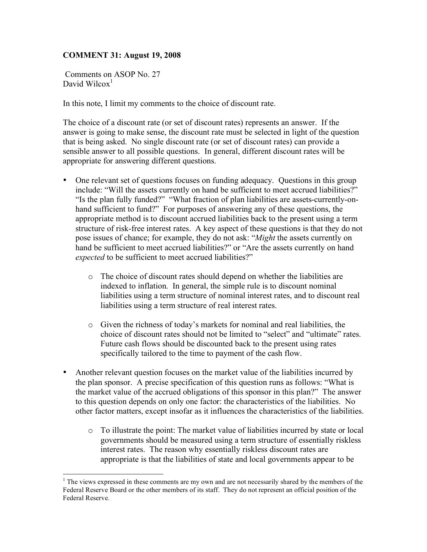## **COMMENT 31: August 19, 2008**

Comments on ASOP No. 27 David Wilcox $<sup>1</sup>$ </sup>

In this note, I limit my comments to the choice of discount rate.

The choice of a discount rate (or set of discount rates) represents an answer. If the answer is going to make sense, the discount rate must be selected in light of the question that is being asked. No single discount rate (or set of discount rates) can provide a sensible answer to all possible questions. In general, different discount rates will be appropriate for answering different questions.

- One relevant set of questions focuses on funding adequacy. Questions in this group include: "Will the assets currently on hand be sufficient to meet accrued liabilities?" "Is the plan fully funded?" "What fraction of plan liabilities are assets-currently-onhand sufficient to fund?" For purposes of answering any of these questions, the appropriate method is to discount accrued liabilities back to the present using a term structure of risk-free interest rates. A key aspect of these questions is that they do not pose issues of chance; for example, they do not ask: "*Might* the assets currently on hand be sufficient to meet accrued liabilities?" or "Are the assets currently on hand *expected* to be sufficient to meet accrued liabilities?"
	- o The choice of discount rates should depend on whether the liabilities are indexed to inflation. In general, the simple rule is to discount nominal liabilities using a term structure of nominal interest rates, and to discount real liabilities using a term structure of real interest rates.
	- o Given the richness of today's markets for nominal and real liabilities, the choice of discount rates should not be limited to "select" and "ultimate" rates. Future cash flows should be discounted back to the present using rates specifically tailored to the time to payment of the cash flow.
- Another relevant question focuses on the market value of the liabilities incurred by the plan sponsor. A precise specification of this question runs as follows: "What is the market value of the accrued obligations of this sponsor in this plan?" The answer to this question depends on only one factor: the characteristics of the liabilities. No other factor matters, except insofar as it influences the characteristics of the liabilities.
	- $\circ$  To illustrate the point: The market value of liabilities incurred by state or local governments should be measured using a term structure of essentially riskless interest rates. The reason why essentially riskless discount rates are appropriate is that the liabilities of state and local governments appear to be

 $\frac{1}{1}$  $1$ . The views expressed in these comments are my own and are not necessarily shared by the members of the Federal Reserve Board or the other members of its staff. They do not represent an official position of the Federal Reserve.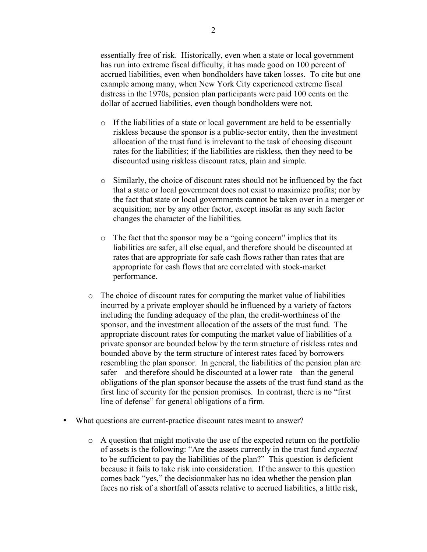essentially free of risk. Historically, even when a state or local government has run into extreme fiscal difficulty, it has made good on 100 percent of accrued liabilities, even when bondholders have taken losses. To cite but one example among many, when New York City experienced extreme fiscal distress in the 1970s, pension plan participants were paid 100 cents on the dollar of accrued liabilities, even though bondholders were not.

- o If the liabilities of a state or local government are held to be essentially riskless because the sponsor is a public-sector entity, then the investment allocation of the trust fund is irrelevant to the task of choosing discount rates for the liabilities; if the liabilities are riskless, then they need to be discounted using riskless discount rates, plain and simple.
- o Similarly, the choice of discount rates should not be influenced by the fact that a state or local government does not exist to maximize profits; nor by the fact that state or local governments cannot be taken over in a merger or acquisition; nor by any other factor, except insofar as any such factor changes the character of the liabilities.
- o The fact that the sponsor may be a "going concern" implies that its liabilities are safer, all else equal, and therefore should be discounted at rates that are appropriate for safe cash flows rather than rates that are appropriate for cash flows that are correlated with stock-market performance.
- o The choice of discount rates for computing the market value of liabilities incurred by a private employer should be influenced by a variety of factors including the funding adequacy of the plan, the credit-worthiness of the sponsor, and the investment allocation of the assets of the trust fund. The appropriate discount rates for computing the market value of liabilities of a private sponsor are bounded below by the term structure of riskless rates and bounded above by the term structure of interest rates faced by borrowers resembling the plan sponsor. In general, the liabilities of the pension plan are safer—and therefore should be discounted at a lower rate—than the general obligations of the plan sponsor because the assets of the trust fund stand as the first line of security for the pension promises. In contrast, there is no "first line of defense" for general obligations of a firm.
- What questions are current-practice discount rates meant to answer?
	- o A question that might motivate the use of the expected return on the portfolio of assets is the following: "Are the assets currently in the trust fund *expected* to be sufficient to pay the liabilities of the plan?" This question is deficient because it fails to take risk into consideration. If the answer to this question comes back "yes," the decisionmaker has no idea whether the pension plan faces no risk of a shortfall of assets relative to accrued liabilities, a little risk,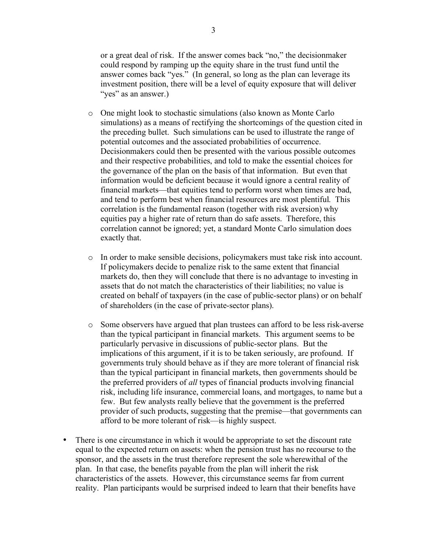or a great deal of risk. If the answer comes back "no," the decisionmaker could respond by ramping up the equity share in the trust fund until the answer comes back "yes." (In general, so long as the plan can leverage its investment position, there will be a level of equity exposure that will deliver "yes" as an answer.)

- o One might look to stochastic simulations (also known as Monte Carlo simulations) as a means of rectifying the shortcomings of the question cited in the preceding bullet. Such simulations can be used to illustrate the range of potential outcomes and the associated probabilities of occurrence. Decisionmakers could then be presented with the various possible outcomes and their respective probabilities, and told to make the essential choices for the governance of the plan on the basis of that information. But even that information would be deficient because it would ignore a central reality of financial markets—that equities tend to perform worst when times are bad, and tend to perform best when financial resources are most plentiful. This correlation is the fundamental reason (together with risk aversion) why equities pay a higher rate of return than do safe assets. Therefore, this correlation cannot be ignored; yet, a standard Monte Carlo simulation does exactly that.
- o In order to make sensible decisions, policymakers must take risk into account. If policymakers decide to penalize risk to the same extent that financial markets do, then they will conclude that there is no advantage to investing in assets that do not match the characteristics of their liabilities; no value is created on behalf of taxpayers (in the case of public-sector plans) or on behalf of shareholders (in the case of private-sector plans).
- o Some observers have argued that plan trustees can afford to be less risk-averse than the typical participant in financial markets. This argument seems to be particularly pervasive in discussions of public-sector plans. But the implications of this argument, if it is to be taken seriously, are profound. If governments truly should behave as if they are more tolerant of financial risk than the typical participant in financial markets, then governments should be the preferred providers of *all* types of financial products involving financial risk, including life insurance, commercial loans, and mortgages, to name but a few. But few analysts really believe that the government is the preferred provider of such products, suggesting that the premise—that governments can afford to be more tolerant of risk—is highly suspect.
- There is one circumstance in which it would be appropriate to set the discount rate equal to the expected return on assets: when the pension trust has no recourse to the sponsor, and the assets in the trust therefore represent the sole wherewithal of the plan. In that case, the benefits payable from the plan will inherit the risk characteristics of the assets. However, this circumstance seems far from current reality. Plan participants would be surprised indeed to learn that their benefits have